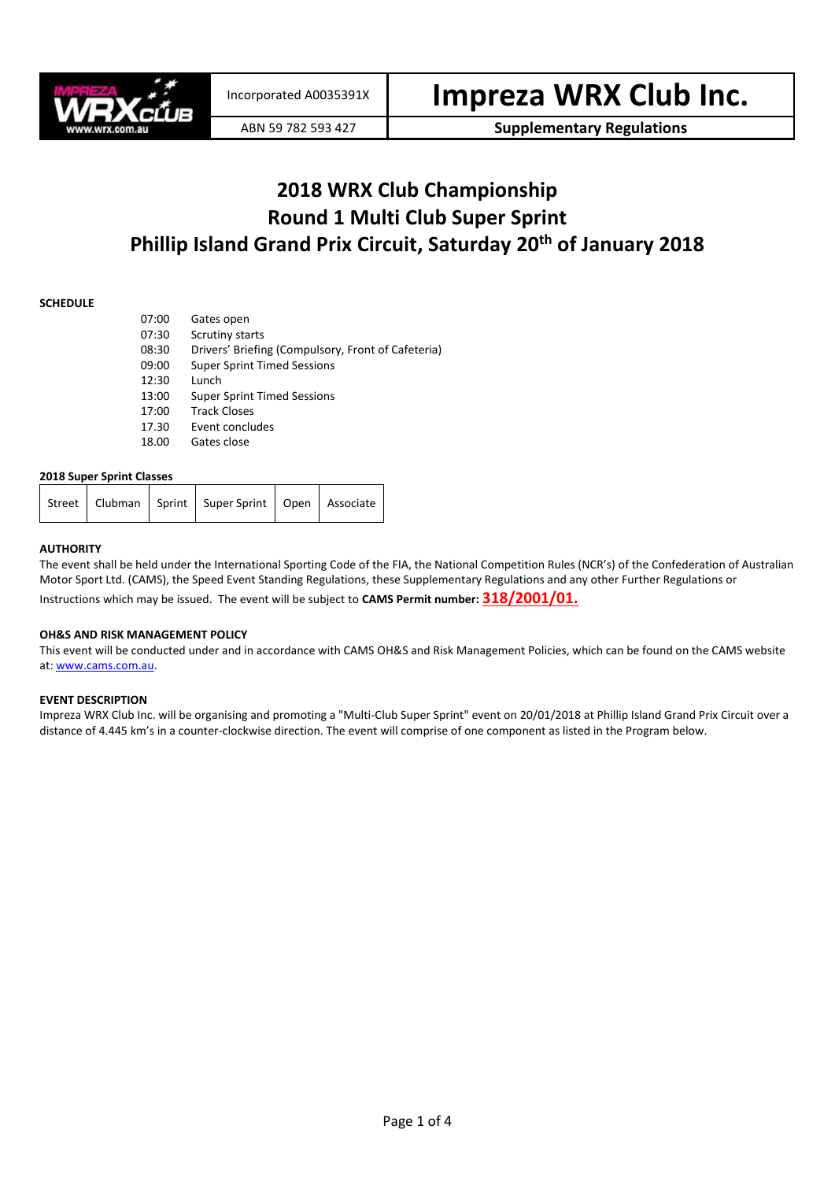

ABN 59 782 593 427 **Supplementary Regulations**

### **2018 WRX Club Championship Round 1 Multi Club Super Sprint Phillip Island Grand Prix Circuit, Saturday 20th of January 2018**

#### **SCHEDULE**

| 07:00 | Gates open                                         |
|-------|----------------------------------------------------|
| 07:30 | Scrutiny starts                                    |
| 08:30 | Drivers' Briefing (Compulsory, Front of Cafeteria) |
| 09:00 | <b>Super Sprint Timed Sessions</b>                 |
| 12:30 | Lunch                                              |
| 13:00 | <b>Super Sprint Timed Sessions</b>                 |
| 17:00 | <b>Track Closes</b>                                |
| 17.30 | Event concludes                                    |
| 18.00 | Gates close                                        |

#### **2018 Super Sprint Classes**

| Street   Clubman   Sprint   Super Sprint   Open   Associate |
|-------------------------------------------------------------|
|-------------------------------------------------------------|

#### **AUTHORITY**

The event shall be held under the International Sporting Code of the FIA, the National Competition Rules (NCR's) of the Confederation of Australian Motor Sport Ltd. (CAMS), the Speed Event Standing Regulations, these Supplementary Regulations and any other Further Regulations or Instructions which may be issued. The event will be subject to **CAMS Permit number: 318/2001/01.**

#### **OH&S AND RISK MANAGEMENT POLICY**

This event will be conducted under and in accordance with CAMS OH&S and Risk Management Policies, which can be found on the CAMS website at[: www.cams.com.au.](http://www.cams.com.au/)

#### **EVENT DESCRIPTION**

Impreza WRX Club Inc. will be organising and promoting a "Multi-Club Super Sprint" event on 20/01/2018 at Phillip Island Grand Prix Circuit over a distance of 4.445 km's in a counter-clockwise direction. The event will comprise of one component as listed in the Program below.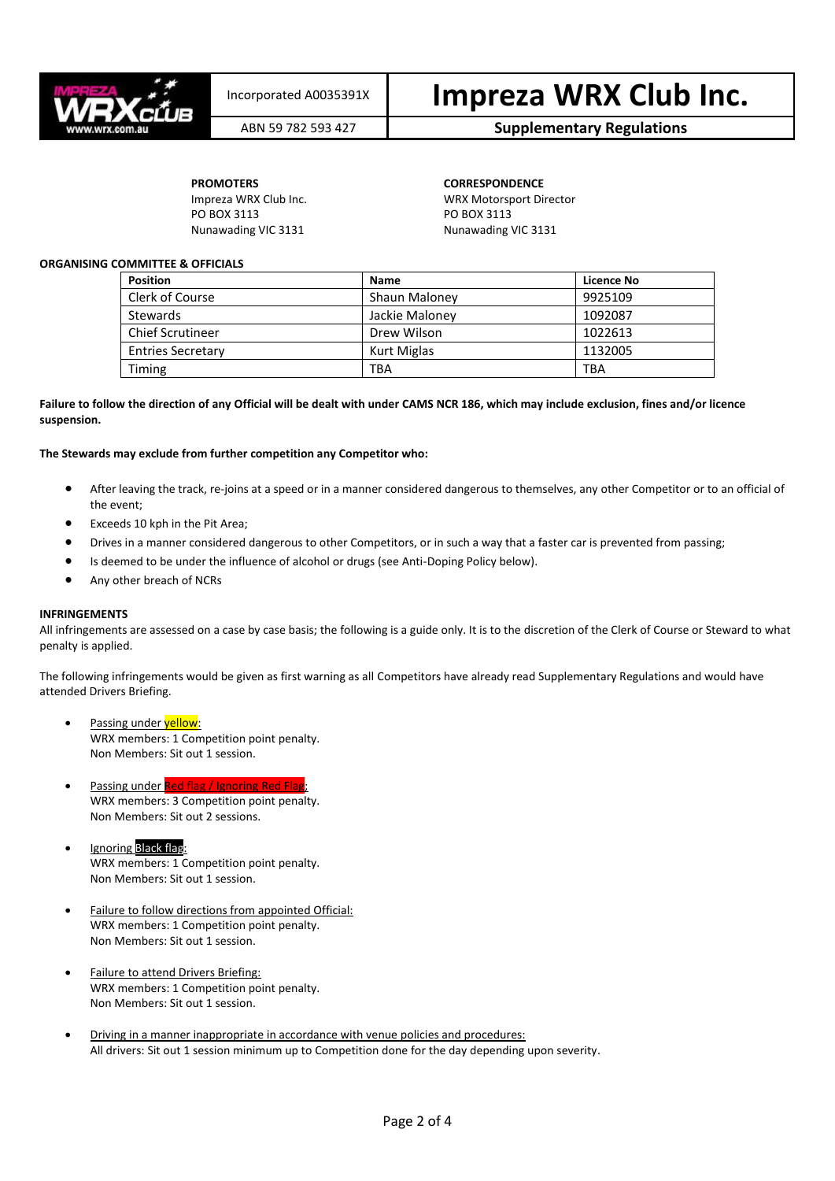

## Incorporated A0035391X **Impreza WRX Club Inc.**

### ABN 59 782 593 427 **Supplementary Regulations**

PO BOX 3113 PO BOX 3113 Nunawading VIC 3131 Nunawading VIC 3131

**PROMOTERS CORRESPONDENCE** Impreza WRX Club Inc. WRX Motorsport Director

#### **ORGANISING COMMITTEE & OFFICIALS**

| <b>Position</b>          | <b>Name</b>    | Licence No |
|--------------------------|----------------|------------|
| Clerk of Course          | Shaun Maloney  | 9925109    |
| Stewards                 | Jackie Maloney | 1092087    |
| <b>Chief Scrutineer</b>  | Drew Wilson    | 1022613    |
| <b>Entries Secretary</b> | Kurt Miglas    | 1132005    |
| Timing                   | <b>TBA</b>     | TBA        |

#### **Failure to follow the direction of any Official will be dealt with under CAMS NCR 186, which may include exclusion, fines and/or licence suspension.**

#### **The Stewards may exclude from further competition any Competitor who:**

- After leaving the track, re-joins at a speed or in a manner considered dangerous to themselves, any other Competitor or to an official of the event;
- Exceeds 10 kph in the Pit Area;
- Drives in a manner considered dangerous to other Competitors, or in such a way that a faster car is prevented from passing;
- Is deemed to be under the influence of alcohol or drugs (see Anti-Doping Policy below).
- Any other breach of NCRs

#### **INFRINGEMENTS**

All infringements are assessed on a case by case basis; the following is a guide only. It is to the discretion of the Clerk of Course or Steward to what penalty is applied.

The following infringements would be given as first warning as all Competitors have already read Supplementary Regulations and would have attended Drivers Briefing.

- Passing under **yellow**: WRX members: 1 Competition point penalty. Non Members: Sit out 1 session.
- Passing under Red flag / Ignoring Red Flag WRX members: 3 Competition point penalty. Non Members: Sit out 2 sessions.
- Ignoring Black flag: WRX members: 1 Competition point penalty. Non Members: Sit out 1 session.
- Failure to follow directions from appointed Official: WRX members: 1 Competition point penalty. Non Members: Sit out 1 session.
- Failure to attend Drivers Briefing: WRX members: 1 Competition point penalty. Non Members: Sit out 1 session.
- Driving in a manner inappropriate in accordance with venue policies and procedures: All drivers: Sit out 1 session minimum up to Competition done for the day depending upon severity.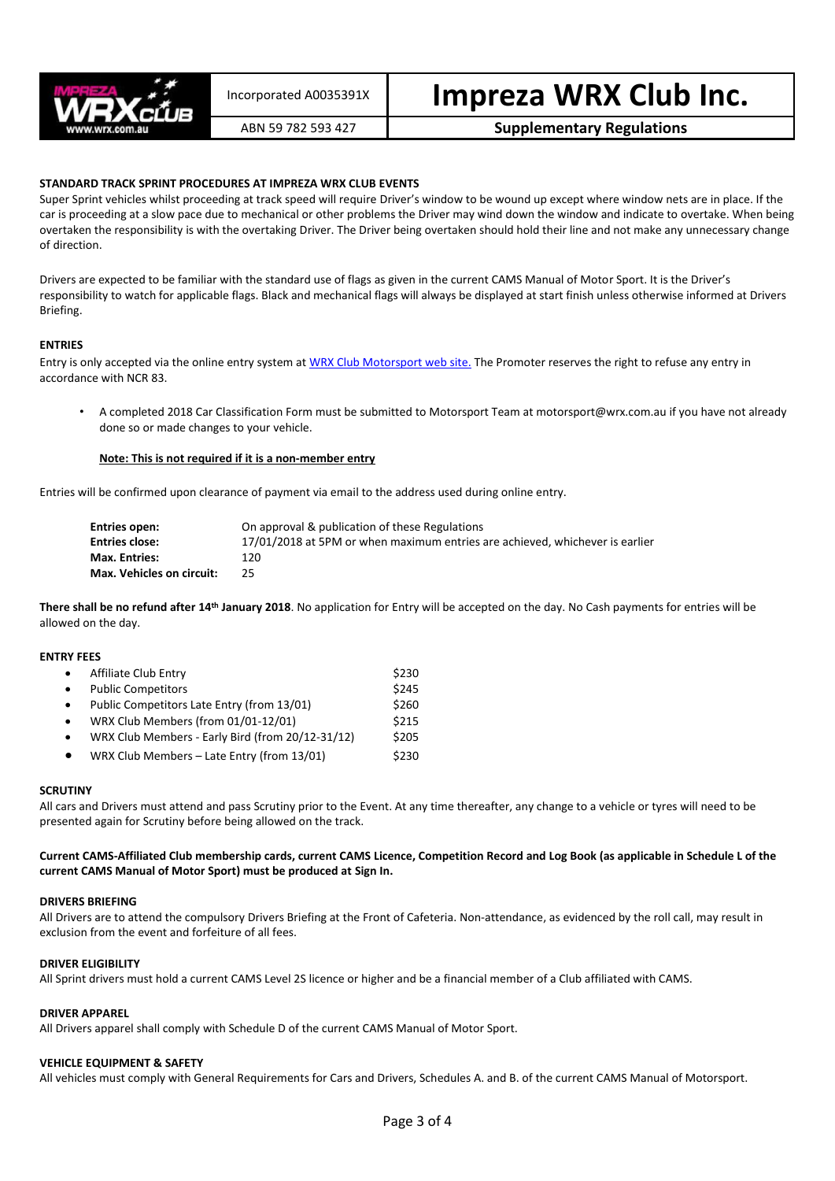

# Incorporated A0035391X **Impreza WRX Club Inc.**

ABN 59 782 593 427 **Supplementary Regulations**

#### **STANDARD TRACK SPRINT PROCEDURES AT IMPREZA WRX CLUB EVENTS**

Super Sprint vehicles whilst proceeding at track speed will require Driver's window to be wound up except where window nets are in place. If the car is proceeding at a slow pace due to mechanical or other problems the Driver may wind down the window and indicate to overtake. When being overtaken the responsibility is with the overtaking Driver. The Driver being overtaken should hold their line and not make any unnecessary change of direction.

Drivers are expected to be familiar with the standard use of flags as given in the current CAMS Manual of Motor Sport. It is the Driver's responsibility to watch for applicable flags. Black and mechanical flags will always be displayed at start finish unless otherwise informed at Drivers Briefing.

#### **ENTRIES**

Entry is only accepted via the online entry system a[t WRX Club Motorsport web site.](http://www.wrx.com.au/motorsport) The Promoter reserves the right to refuse any entry in accordance with NCR 83.

• A completed 2018 Car Classification Form must be submitted to Motorsport Team at motorsport@wrx.com.au if you have not already done so or made changes to your vehicle.

#### **Note: This is not required if it is a non-member entry**

Entries will be confirmed upon clearance of payment via email to the address used during online entry.

| Entries open:             | On approval & publication of these Regulations                               |
|---------------------------|------------------------------------------------------------------------------|
| <b>Entries close:</b>     | 17/01/2018 at 5PM or when maximum entries are achieved, whichever is earlier |
| <b>Max. Entries:</b>      | 120.                                                                         |
| Max. Vehicles on circuit: | 25.                                                                          |

**There shall be no refund after 14th January 2018**. No application for Entry will be accepted on the day. No Cash payments for entries will be allowed on the day.

#### **ENTRY FEES**

| $\bullet$ | Affiliate Club Entry                             | \$230 |
|-----------|--------------------------------------------------|-------|
| $\bullet$ | <b>Public Competitors</b>                        | \$245 |
| $\bullet$ | Public Competitors Late Entry (from 13/01)       | \$260 |
| $\bullet$ | WRX Club Members (from 01/01-12/01)              | \$215 |
| $\bullet$ | WRX Club Members - Early Bird (from 20/12-31/12) | \$205 |
| $\bullet$ | WRX Club Members - Late Entry (from 13/01)       | \$230 |

#### **SCRUTINY**

All cars and Drivers must attend and pass Scrutiny prior to the Event. At any time thereafter, any change to a vehicle or tyres will need to be presented again for Scrutiny before being allowed on the track.

#### **Current CAMS-Affiliated Club membership cards, current CAMS Licence, Competition Record and Log Book (as applicable in Schedule L of the current CAMS Manual of Motor Sport) must be produced at Sign In.**

#### **DRIVERS BRIEFING**

All Drivers are to attend the compulsory Drivers Briefing at the Front of Cafeteria. Non-attendance, as evidenced by the roll call, may result in exclusion from the event and forfeiture of all fees.

#### **DRIVER ELIGIBILITY**

All Sprint drivers must hold a current CAMS Level 2S licence or higher and be a financial member of a Club affiliated with CAMS.

#### **DRIVER APPAREL**

All Drivers apparel shall comply with Schedule D of the current CAMS Manual of Motor Sport.

#### **VEHICLE EQUIPMENT & SAFETY**

All vehicles must comply with General Requirements for Cars and Drivers, Schedules A. and B. of the current CAMS Manual of Motorsport.